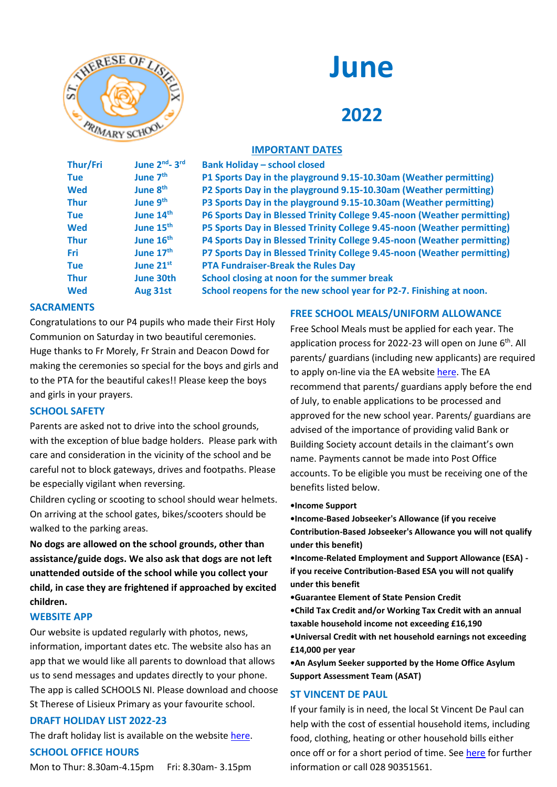

# **June**

# **2022**

# **IMPORTANT DATES**

| Thur/Fri    | June 2nd <sub>-3rd</sub> | <b>Bank Holiday - school closed</b>                                     |
|-------------|--------------------------|-------------------------------------------------------------------------|
| <b>Tue</b>  | June 7 <sup>th</sup>     | P1 Sports Day in the playground 9.15-10.30am (Weather permitting)       |
| <b>Wed</b>  | June 8 <sup>th</sup>     | P2 Sports Day in the playground 9.15-10.30am (Weather permitting)       |
| <b>Thur</b> | June 9 <sup>th</sup>     | P3 Sports Day in the playground 9.15-10.30am (Weather permitting)       |
| <b>Tue</b>  | June 14 <sup>th</sup>    | P6 Sports Day in Blessed Trinity College 9.45-noon (Weather permitting) |
| <b>Wed</b>  | June 15 <sup>th</sup>    | P5 Sports Day in Blessed Trinity College 9.45-noon (Weather permitting) |
| <b>Thur</b> | June 16 <sup>th</sup>    | P4 Sports Day in Blessed Trinity College 9.45-noon (Weather permitting) |
| <b>Fri</b>  | June 17 <sup>th</sup>    | P7 Sports Day in Blessed Trinity College 9.45-noon (Weather permitting) |
| <b>Tue</b>  | June 21st                | <b>PTA Fundraiser-Break the Rules Day</b>                               |
| <b>Thur</b> | June 30th                | School closing at noon for the summer break                             |
| <b>Wed</b>  | Aug 31st                 | School reopens for the new school year for P2-7. Finishing at noon.     |

# **SACRAMENTS**

Congratulations to our P4 pupils who made their First Holy Communion on Saturday in two beautiful ceremonies. Huge thanks to Fr Morely, Fr Strain and Deacon Dowd for making the ceremonies so special for the boys and girls and to the PTA for the beautiful cakes!! Please keep the boys and girls in your prayers.

### **SCHOOL SAFETY**

Parents are asked not to drive into the school grounds, with the exception of blue badge holders. Please park with care and consideration in the vicinity of the school and be careful not to block gateways, drives and footpaths. Please be especially vigilant when reversing.

Children cycling or scooting to school should wear helmets. On arriving at the school gates, bikes/scooters should be walked to the parking areas.

**No dogs are allowed on the school grounds, other than assistance/guide dogs. We also ask that dogs are not left unattended outside of the school while you collect your child, in case they are frightened if approached by excited children.**

# **WEBSITE APP**

Our website is updated regularly with photos, news, information, important dates etc. The website also has an app that we would like all parents to download that allows us to send messages and updates directly to your phone. The app is called SCHOOLS NI. Please download and choose St Therese of Lisieux Primary as your favourite school.

### **DRAFT HOLIDAY LIST 2022-23**

The draft holiday list is available on the websit[e here.](https://www.stthereseoflisieux.co.uk/cmsfiles/items/downloads/2022-03-02_10_56_26/Holiday_List_2022-2023.pdf)

### **SCHOOL OFFICE HOURS**

Mon to Thur: 8.30am-4.15pm Fri: 8.30am- 3.15pm

# **FREE SCHOOL MEALS/UNIFORM ALLOWANCE**

Free School Meals must be applied for each year. The application process for 2022-23 will open on June 6<sup>th</sup>. All parents/ guardians (including new applicants) are required to apply on-line via the EA website [here.](https://www.eani.org.uk/financial-help/free-school-meals) The EA recommend that parents/ guardians apply before the end of July, to enable applications to be processed and approved for the new school year. Parents/ guardians are advised of the importance of providing valid Bank or Building Society account details in the claimant's own name. Payments cannot be made into Post Office accounts. To be eligible you must be receiving one of the benefits listed below.

**•Income Support**

**•Income-Based Jobseeker's Allowance (if you receive Contribution-Based Jobseeker's Allowance you will not qualify under this benefit)**

**•Income-Related Employment and Support Allowance (ESA) if you receive Contribution-Based ESA you will not qualify under this benefit**

**•Guarantee Element of State Pension Credit**

**•Child Tax Credit and/or Working Tax Credit with an annual taxable household income not exceeding £16,190**

**•Universal Credit with net household earnings not exceeding £14,000 per year**

**•An Asylum Seeker supported by the Home Office Asylum Support Assessment Team (ASAT)**

### **ST VINCENT DE PAUL**

If your family is in need, the local St Vincent De Paul can help with the cost of essential household items, including food, clothing, heating or other household bills either once off or for a short period of time. See [here](https://www.svp.ie/get-help/how-we-can-help.aspx) for further information or call 028 90351561.